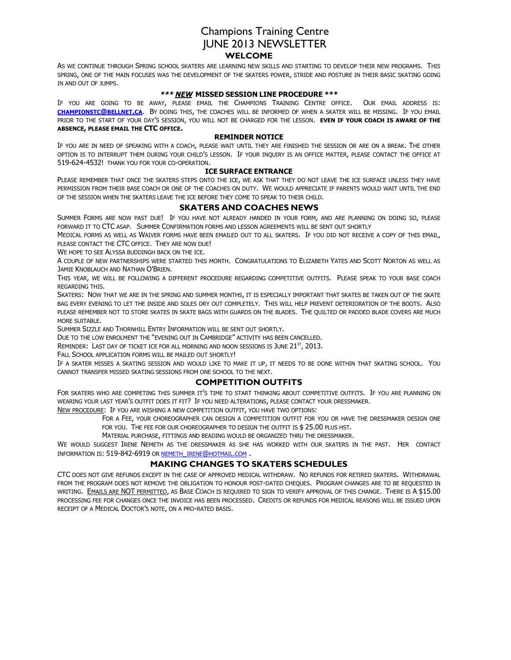# Champions Training Centre JUNE 2013 NEWSLETTER **WELCOME**

AS WE CONTINUE THROUGH SPRING SCHOOL SKATERS ARE LEARNING NEW SKILLS AND STARTING TO DEVELOP THEIR NEW PROGRAMS. THIS SPRING, ONE OF THE MAIN FOCUSES WAS THE DEVELOPMENT OF THE SKATERS POWER, STRIDE AND POSTURE IN THEIR BASIC SKATING GOING IN AND OUT OF JUMPS.

#### **\*\*\* NEW MISSED SESSION LINE PROCEDURE \*\*\***

IF YOU ARE GOING TO BE AWAY, PLEASE EMAIL THE CHAMPIONS TRAINING CENTRE OFFICE. OUR EMAIL ADDRESS IS: **CHAMPIONSTC@BELLNET.CA**. BY DOING THIS, THE COACHES WILL BE INFORMED OF WHEN A SKATER WILL BE MISSING. IF YOU EMAIL PRIOR TO THE START OF YOUR DAY'S SESSION, YOU WILL NOT BE CHARGED FOR THE LESSON. **EVEN IF YOUR COACH IS AWARE OF THE ABSENCE, PLEASE EMAIL THE CTC OFFICE.**

#### **REMINDER NOTICE**

IF YOU ARE IN NEED OF SPEAKING WITH A COACH, PLEASE WAIT UNTIL THEY ARE FINISHED THE SESSION OR ARE ON A BREAK. THE OTHER OPTION IS TO INTERRUPT THEM DURING YOUR CHILD'S LESSON. IF YOUR INQUIRY IS AN OFFICE MATTER, PLEASE CONTACT THE OFFICE AT 519-624-4532! THANK YOU FOR YOUR CO-OPERATION.

#### **ICE SURFACE ENTRANCE**

PLEASE REMEMBER THAT ONCE THE SKATERS STEPS ONTO THE ICE, WE ASK THAT THEY DO NOT LEAVE THE ICE SURFACE UNLESS THEY HAVE PERMISSION FROM THEIR BASE COACH OR ONE OF THE COACHES ON DUTY. WE WOULD APPRECIATE IF PARENTS WOULD WAIT UNTIL THE END OF THE SESSION WHEN THE SKATERS LEAVE THE ICE BEFORE THEY COME TO SPEAK TO THEIR CHILD.

### **SKATERS AND COACHES NEWS**

SUMMER FORMS ARE NOW PAST DUE! IF YOU HAVE NOT ALREADY HANDED IN YOUR FORM, AND ARE PLANNING ON DOING SO, PLEASE FORWARD IT TO CTC ASAP. SUMMER CONFIRMATION FORMS AND LESSON AGREEMENTS WILL BE SENT OUT SHORTLY

MEDICAL FORMS AS WELL AS WAIVER FORMS HAVE BEEN EMAILED OUT TO ALL SKATERS. IF YOU DID NOT RECEIVE A COPY OF THIS EMAIL, PLEASE CONTACT THE CTC OFFICE. THEY ARE NOW DUE!

WE HOPE TO SEE ALYSSA BUDDINGH BACK ON THE ICE.

A COUPLE OF NEW PARTNERSHIPS WERE STARTED THIS MONTH. CONGRATULATIONS TO ELIZABETH YATES AND SCOTT NORTON AS WELL AS JAMIE KNOBLAUCH AND NATHAN O'BRIEN.

THIS YEAR, WE WILL BE FOLLOWING A DIFFERENT PROCEDURE REGARDING COMPETITIVE OUTFITS. PLEASE SPEAK TO YOUR BASE COACH REGARDING THIS.

SKATERS: NOW THAT WE ARE IN THE SPRING AND SUMMER MONTHS, IT IS ESPECIALLY IMPORTANT THAT SKATES BE TAKEN OUT OF THE SKATE BAG EVERY EVENING TO LET THE INSIDE AND SOLES DRY OUT COMPLETELY. THIS WILL HELP PREVENT DETERIORATION OF THE BOOTS. ALSO PLEASE REMEMBER NOT TO STORE SKATES IN SKATE BAGS WITH GUARDS ON THE BLADES. THE QUILTED OR PADDED BLADE COVERS ARE MUCH MORE SUITABLE.

SUMMER SIZZLE AND THORNHILL ENTRY INFORMATION WILL BE SENT OUT SHORTLY.

DUE TO THE LOW ENROLMENT THE "EVENING OUT IN CAMBRIDGE" ACTIVITY HAS BEEN CANCELLED.

REMINDER: LAST DAY OF TICKET ICE FOR ALL MORNING AND NOON SESSIONS IS JUNE  $21^{57}$ ,  $2013$ .

FALL SCHOOL APPLICATION FORMS WILL BE MAILED OUT SHORTLY!

IF A SKATER MISSES A SKATING SESSION AND WOULD LIKE TO MAKE IT UP, IT NEEDS TO BE DONE WITHIN THAT SKATING SCHOOL. YOU CANNOT TRANSFER MISSED SKATING SESSIONS FROM ONE SCHOOL TO THE NEXT.

### **COMPETITION OUTFITS**

FOR SKATERS WHO ARE COMPETING THIS SUMMER IT'S TIME TO START THINKING ABOUT COMPETITIVE OUTFITS. IF YOU ARE PLANNING ON WEARING YOUR LAST YEAR'S OUTFIT DOES IT FIT? IF YOU NEED ALTERATIONS, PLEASE CONTACT YOUR DRESSMAKER.

NEW PROCEDURE: IF YOU ARE WISHING A NEW COMPETITION OUTFIT, YOU HAVE TWO OPTIONS:

FOR A FEE, YOUR CHOREOGRAPHER CAN DESIGN A COMPETITION OUTFIT FOR YOU OR HAVE THE DRESSMAKER DESIGN ONE FOR YOU. THE FEE FOR OUR CHOREOGRAPHER TO DESIGN THE OUTFIT IS \$ 25.00 PLUS HST.

MATERIAL PURCHASE, FITTINGS AND BEADING WOULD BE ORGANIZED THRU THE DRESSMAKER.

WE WOULD SUGGEST IRENE NEMETH AS THE DRESSMAKER AS SHE HAS WORKED WITH OUR SKATERS IN THE PAST. HER CONTACT INFORMATION IS: 519-842-6919 OR NEMETH\_IRENE@HOTMAIL.COM .

### **MAKING CHANGES TO SKATERS SCHEDULES**

CTC DOES NOT GIVE REFUNDS EXCEPT IN THE CASE OF APPROVED MEDICAL WITHDRAW. NO REFUNDS FOR RETIRED SKATERS. WITHDRAWAL FROM THE PROGRAM DOES NOT REMOVE THE OBLIGATION TO HONOUR POST-DATED CHEQUES. PROGRAM CHANGES ARE TO BE REQUESTED IN WRITING. EMAILS ARE NOT PERMITTED, AS BASE COACH IS REQUIRED TO SIGN TO VERIFY APPROVAL OF THIS CHANGE. THERE IS A \$15.00 PROCESSING FEE FOR CHANGES ONCE THE INVOICE HAS BEEN PROCESSED. CREDITS OR REFUNDS FOR MEDICAL REASONS WILL BE ISSUED UPON RECEIPT OF A MEDICAL DOCTOR'S NOTE, ON A PRO-RATED BASIS.